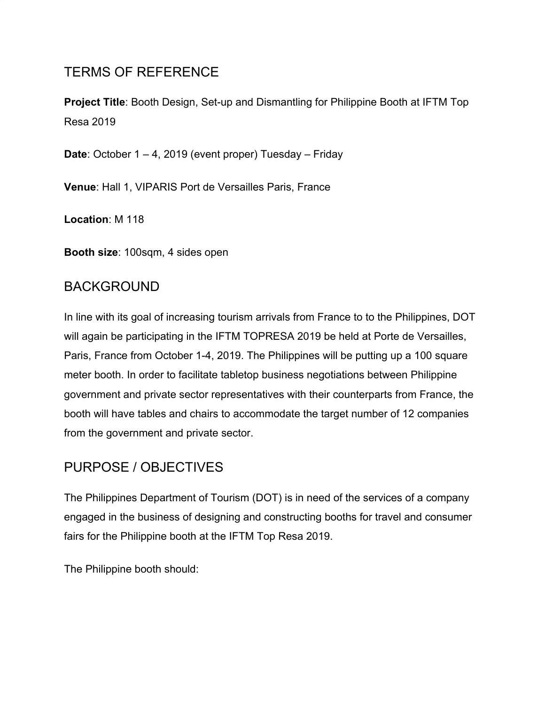# TERMS OF REFERENCE

**Project Title**: Booth Design, Set-up and Dismantling for Philippine Booth at IFTM Top Resa 2019

**Date**: October 1 – 4, 2019 (event proper) Tuesday – Friday

**Venue**: Hall 1, VIPARIS Port de Versailles Paris, France

**Location**: M 118

**Booth size**: 100sqm, 4 sides open

#### BACKGROUND

In line with its goal of increasing tourism arrivals from France to to the Philippines, DOT will again be participating in the IFTM TOPRESA 2019 be held at Porte de Versailles, Paris, France from October 1-4, 2019. The Philippines will be putting up a 100 square meter booth. In order to facilitate tabletop business negotiations between Philippine government and private sector representatives with their counterparts from France, the booth will have tables and chairs to accommodate the target number of 12 companies from the government and private sector.

#### PURPOSE / OBJECTIVES

The Philippines Department of Tourism (DOT) is in need of the services of a company engaged in the business of designing and constructing booths for travel and consumer fairs for the Philippine booth at the IFTM Top Resa 2019.

The Philippine booth should: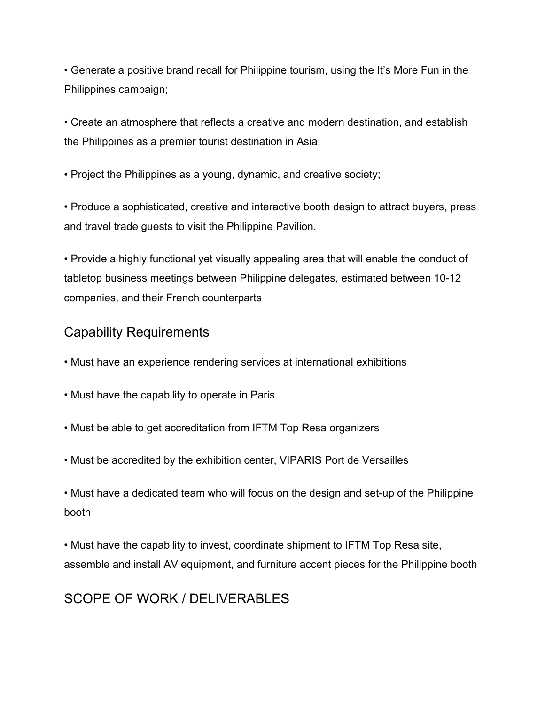• Generate a positive brand recall for Philippine tourism, using the It's More Fun in the Philippines campaign;

• Create an atmosphere that reflects a creative and modern destination, and establish the Philippines as a premier tourist destination in Asia;

• Project the Philippines as a young, dynamic, and creative society;

• Produce a sophisticated, creative and interactive booth design to attract buyers, press and travel trade guests to visit the Philippine Pavilion.

• Provide a highly functional yet visually appealing area that will enable the conduct of tabletop business meetings between Philippine delegates, estimated between 10-12 companies, and their French counterparts

#### Capability Requirements

- Must have an experience rendering services at international exhibitions
- Must have the capability to operate in Paris
- Must be able to get accreditation from IFTM Top Resa organizers
- Must be accredited by the exhibition center, VIPARIS Port de Versailles

• Must have a dedicated team who will focus on the design and set-up of the Philippine booth

• Must have the capability to invest, coordinate shipment to IFTM Top Resa site, assemble and install AV equipment, and furniture accent pieces for the Philippine booth

## SCOPE OF WORK / DELIVERABLES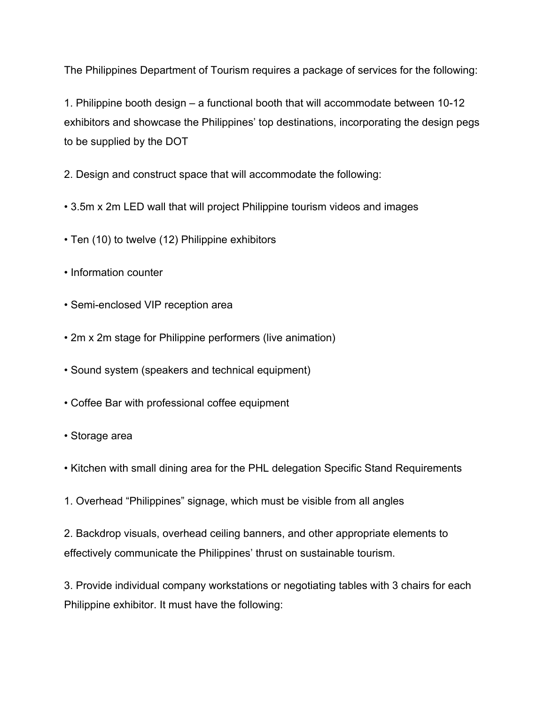The Philippines Department of Tourism requires a package of services for the following:

1. Philippine booth design – a functional booth that will accommodate between 10-12 exhibitors and showcase the Philippines' top destinations, incorporating the design pegs to be supplied by the DOT

2. Design and construct space that will accommodate the following:

- 3.5m x 2m LED wall that will project Philippine tourism videos and images
- Ten (10) to twelve (12) Philippine exhibitors
- Information counter
- Semi-enclosed VIP reception area
- 2m x 2m stage for Philippine performers (live animation)
- Sound system (speakers and technical equipment)
- Coffee Bar with professional coffee equipment
- Storage area
- Kitchen with small dining area for the PHL delegation Specific Stand Requirements
- 1. Overhead "Philippines" signage, which must be visible from all angles

2. Backdrop visuals, overhead ceiling banners, and other appropriate elements to effectively communicate the Philippines' thrust on sustainable tourism.

3. Provide individual company workstations or negotiating tables with 3 chairs for each Philippine exhibitor. It must have the following: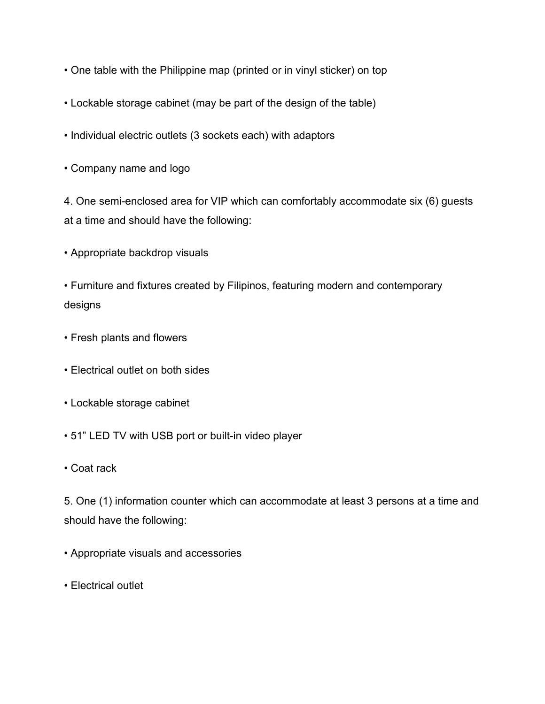- One table with the Philippine map (printed or in vinyl sticker) on top
- Lockable storage cabinet (may be part of the design of the table)
- Individual electric outlets (3 sockets each) with adaptors
- Company name and logo

4. One semi-enclosed area for VIP which can comfortably accommodate six (6) guests at a time and should have the following:

• Appropriate backdrop visuals

• Furniture and fixtures created by Filipinos, featuring modern and contemporary designs

- Fresh plants and flowers
- Electrical outlet on both sides
- Lockable storage cabinet
- 51" LED TV with USB port or built-in video player
- Coat rack

5. One (1) information counter which can accommodate at least 3 persons at a time and should have the following:

- Appropriate visuals and accessories
- Electrical outlet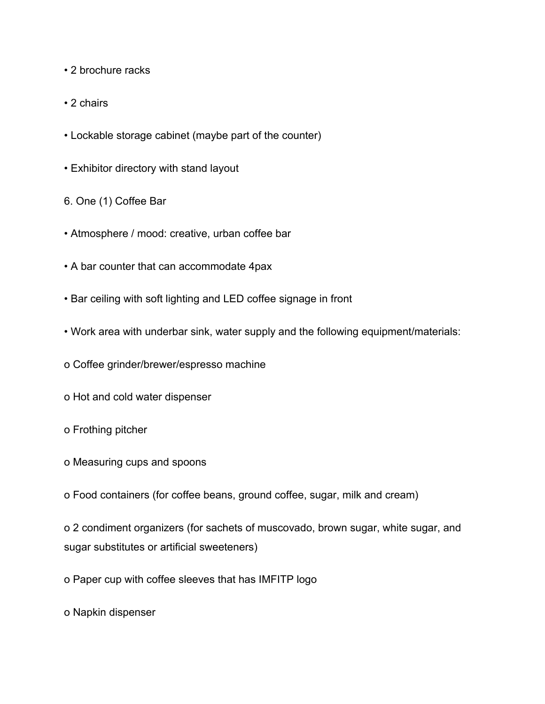- 2 brochure racks
- 2 chairs
- Lockable storage cabinet (maybe part of the counter)
- Exhibitor directory with stand layout
- 6. One (1) Coffee Bar
- Atmosphere / mood: creative, urban coffee bar
- A bar counter that can accommodate 4pax
- Bar ceiling with soft lighting and LED coffee signage in front
- Work area with underbar sink, water supply and the following equipment/materials:
- o Coffee grinder/brewer/espresso machine
- o Hot and cold water dispenser
- o Frothing pitcher
- o Measuring cups and spoons
- o Food containers (for coffee beans, ground coffee, sugar, milk and cream)

o 2 condiment organizers (for sachets of muscovado, brown sugar, white sugar, and sugar substitutes or artificial sweeteners)

o Paper cup with coffee sleeves that has IMFITP logo

o Napkin dispenser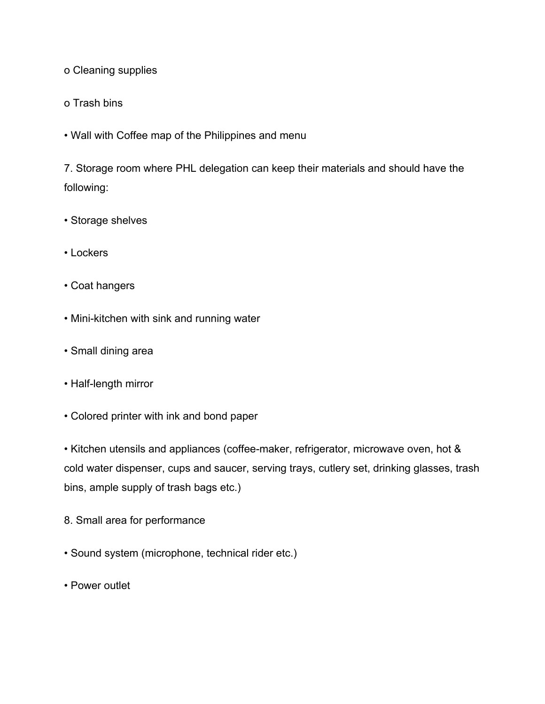o Cleaning supplies

o Trash bins

• Wall with Coffee map of the Philippines and menu

7. Storage room where PHL delegation can keep their materials and should have the following:

- Storage shelves
- Lockers
- Coat hangers
- Mini-kitchen with sink and running water
- Small dining area
- Half-length mirror
- Colored printer with ink and bond paper

• Kitchen utensils and appliances (coffee-maker, refrigerator, microwave oven, hot & cold water dispenser, cups and saucer, serving trays, cutlery set, drinking glasses, trash bins, ample supply of trash bags etc.)

- 8. Small area for performance
- Sound system (microphone, technical rider etc.)
- Power outlet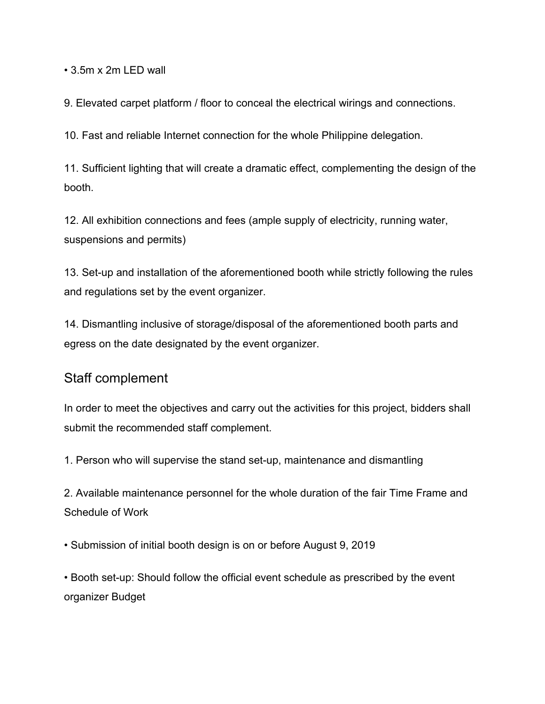• 3.5m x 2m LED wall

9. Elevated carpet platform / floor to conceal the electrical wirings and connections.

10. Fast and reliable Internet connection for the whole Philippine delegation.

11. Sufficient lighting that will create a dramatic effect, complementing the design of the booth.

12. All exhibition connections and fees (ample supply of electricity, running water, suspensions and permits)

13. Set-up and installation of the aforementioned booth while strictly following the rules and regulations set by the event organizer.

14. Dismantling inclusive of storage/disposal of the aforementioned booth parts and egress on the date designated by the event organizer.

#### Staff complement

In order to meet the objectives and carry out the activities for this project, bidders shall submit the recommended staff complement.

1. Person who will supervise the stand set-up, maintenance and dismantling

2. Available maintenance personnel for the whole duration of the fair Time Frame and Schedule of Work

• Submission of initial booth design is on or before August 9, 2019

• Booth set-up: Should follow the official event schedule as prescribed by the event organizer Budget